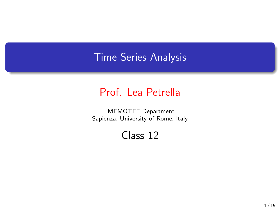## Time Series Analysis

## Prof. Lea Petrella

MEMOTEF Department Sapienza, University of Rome, Italy

Class 12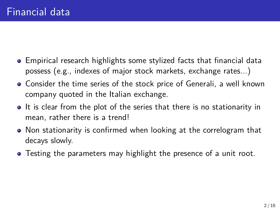- Empirical research highlights some stylized facts that financial data possess (e.g., indexes of major stock markets, exchange rates...)
- Consider the time series of the stock price of Generali, a well known company quoted in the Italian exchange.
- It is clear from the plot of the series that there is no stationarity in mean, rather there is a trend!
- Non stationarity is confirmed when looking at the correlogram that decays slowly.
- Testing the parameters may highlight the presence of a unit root.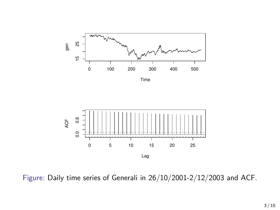

Time



Figure: Daily time series of Generali in 26/10/2001-2/12/2003 and ACF.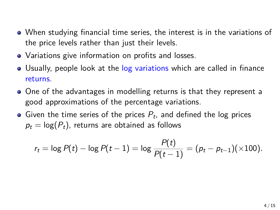- When studying financial time series, the interest is in the variations of the price levels rather than just their levels.
- Variations give information on profits and losses.
- Usually, people look at the log variations which are called in finance returns.
- One of the advantages in modelling returns is that they represent a good approximations of the percentage variations.
- Given the time series of the prices  $P_t$ , and defined the log prices  $p_t = \log(P_t)$ , returns are obtained as follows

$$
r_t = \log P(t) - \log P(t-1) = \log \frac{P(t)}{P(t-1)} = (p_t - p_{t-1})(\times 100).
$$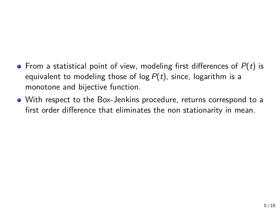- From a statistical point of view, modeling first differences of *P*(*t*) is equivalent to modeling those of log *P*(*t*), since, logarithm is a monotone and bijective function.
- With respect to the Box-Jenkins procedure, returns correspond to a first order difference that eliminates the non stationarity in mean.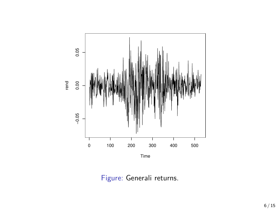

Figure: Generali returns.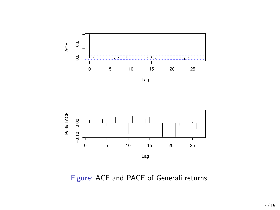

Lag



Figure: ACF and PACF of Generali returns.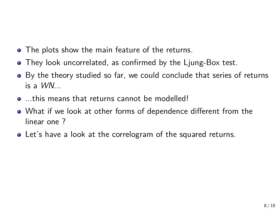- The plots show the main feature of the returns.
- They look uncorrelated, as confirmed by the Ljung-Box test.
- By the theory studied so far, we could conclude that series of returns is a *WN*...
- **...** this means that returns cannot be modelled!
- What if we look at other forms of dependence different from the linear one ?
- Let's have a look at the correlogram of the squared returns.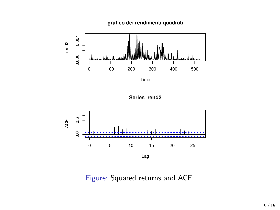**grafico dei rendimenti quadrati**



Time

**Series rend2**



Figure: Squared returns and ACF.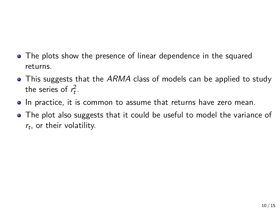- The plots show the presence of linear dependence in the squared returns.
- This suggests that the *ARMA* class of models can be applied to study the series of  $r_t^2$ .
- $\bullet$  In practice, it is common to assume that returns have zero mean.
- The plot also suggests that it could be useful to model the variance of *rt* , or their volatility.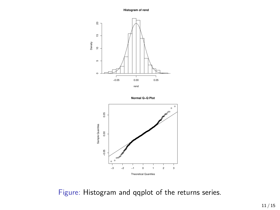**Histogram of rend**







Figure: Histogram and qqplot of the returns series.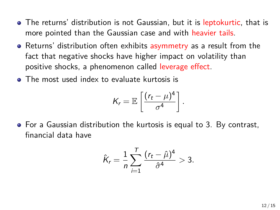- The returns' distribution is not Gaussian, but it is leptokurtic, that is more pointed than the Gaussian case and with heavier tails.
- Returns' distribution often exhibits asymmetry as a result from the fact that negative shocks have higher impact on volatility than positive shocks, a phenomenon called leverage effect.
- The most used index to evaluate kurtosis is

$$
K_r = \mathbb{E}\left[\frac{(r_t - \mu)^4}{\sigma^4}\right].
$$

For a Gaussian distribution the kurtosis is equal to 3. By contrast, financial data have

$$
\hat{K}_r = \frac{1}{n} \sum_{i=1}^T \frac{(r_t - \hat{\mu})^4}{\hat{\sigma}^4} > 3.
$$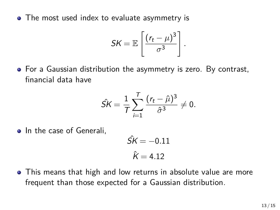• The most used index to evaluate asymmetry is

$$
SK = \mathbb{E}\left[\frac{(r_t - \mu)^3}{\sigma^3}\right].
$$

For a Gaussian distribution the asymmetry is zero. By contrast, financial data have

$$
\hat{SK} = \frac{1}{T} \sum_{i=1}^{T} \frac{(r_t - \hat{\mu})^3}{\hat{\sigma}^3} \neq 0.
$$

• In the case of Generali,

$$
\hat{SK} = -0.11
$$

$$
\hat{K} = 4.12
$$

This means that high and low returns in absolute value are more frequent than those expected for a Gaussian distribution.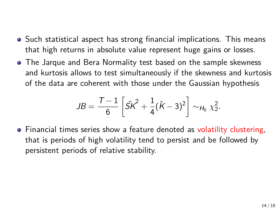- Such statistical aspect has strong financial implications. This means that high returns in absolute value represent huge gains or losses.
- The Jarque and Bera Normality test based on the sample skewness and kurtosis allows to test simultaneously if the skewness and kurtosis of the data are coherent with those under the Gaussian hypothesis

$$
JB = \frac{T-1}{6} \left[ \hat{SK}^2 + \frac{1}{4} (\hat{K} - 3)^2 \right] \sim_{H_0} \chi_2^2.
$$

• Financial times series show a feature denoted as volatility clustering, that is periods of high volatility tend to persist and be followed by persistent periods of relative stability.